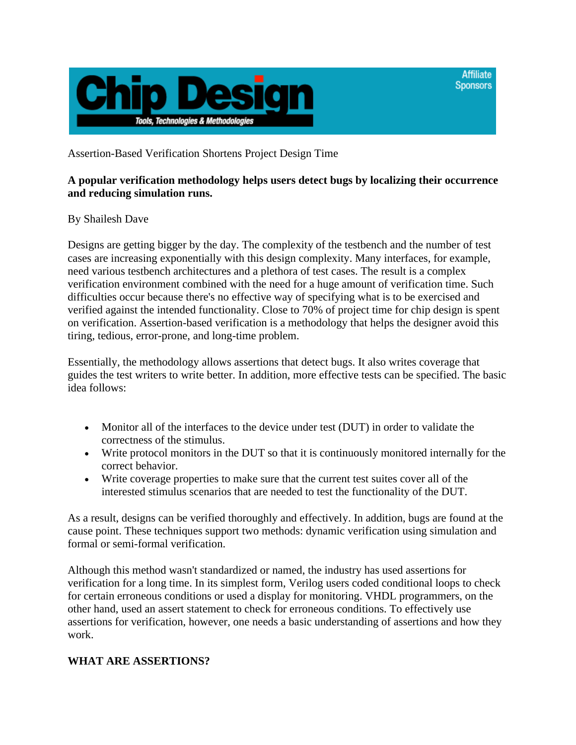

Assertion-Based Verification Shortens Project Design Time

# **A popular verification methodology helps users detect bugs by localizing their occurrence and reducing simulation runs.**

**Affiliate Sponsors** 

### By Shailesh Dave

Designs are getting bigger by the day. The complexity of the testbench and the number of test cases are increasing exponentially with this design complexity. Many interfaces, for example, need various testbench architectures and a plethora of test cases. The result is a complex verification environment combined with the need for a huge amount of verification time. Such difficulties occur because there's no effective way of specifying what is to be exercised and verified against the intended functionality. Close to 70% of project time for chip design is spent on verification. Assertion-based verification is a methodology that helps the designer avoid this tiring, tedious, error-prone, and long-time problem.

Essentially, the methodology allows assertions that detect bugs. It also writes coverage that guides the test writers to write better. In addition, more effective tests can be specified. The basic idea follows:

- Monitor all of the interfaces to the device under test (DUT) in order to validate the correctness of the stimulus.
- Write protocol monitors in the DUT so that it is continuously monitored internally for the correct behavior.
- Write coverage properties to make sure that the current test suites cover all of the interested stimulus scenarios that are needed to test the functionality of the DUT.

As a result, designs can be verified thoroughly and effectively. In addition, bugs are found at the cause point. These techniques support two methods: dynamic verification using simulation and formal or semi-formal verification.

Although this method wasn't standardized or named, the industry has used assertions for verification for a long time. In its simplest form, Verilog users coded conditional loops to check for certain erroneous conditions or used a display for monitoring. VHDL programmers, on the other hand, used an assert statement to check for erroneous conditions. To effectively use assertions for verification, however, one needs a basic understanding of assertions and how they work.

#### **WHAT ARE ASSERTIONS?**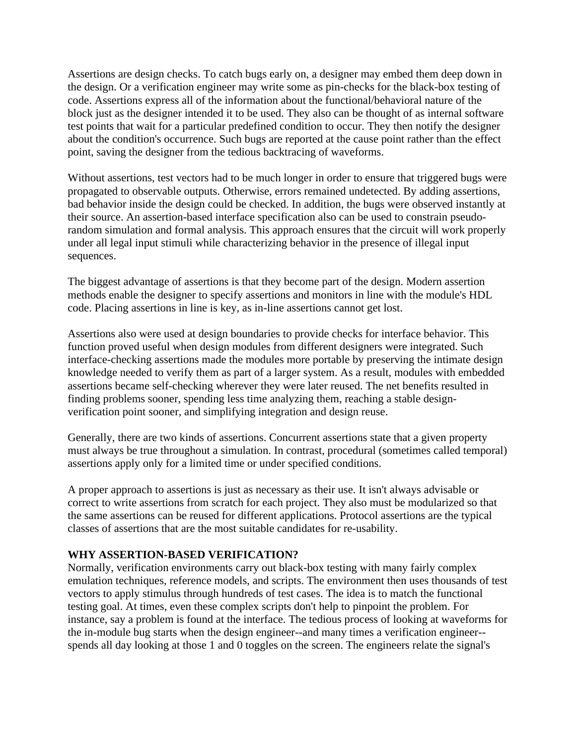Assertions are design checks. To catch bugs early on, a designer may embed them deep down in the design. Or a verification engineer may write some as pin-checks for the black-box testing of code. Assertions express all of the information about the functional/behavioral nature of the block just as the designer intended it to be used. They also can be thought of as internal software test points that wait for a particular predefined condition to occur. They then notify the designer about the condition's occurrence. Such bugs are reported at the cause point rather than the effect point, saving the designer from the tedious backtracing of waveforms.

Without assertions, test vectors had to be much longer in order to ensure that triggered bugs were propagated to observable outputs. Otherwise, errors remained undetected. By adding assertions, bad behavior inside the design could be checked. In addition, the bugs were observed instantly at their source. An assertion-based interface specification also can be used to constrain pseudorandom simulation and formal analysis. This approach ensures that the circuit will work properly under all legal input stimuli while characterizing behavior in the presence of illegal input sequences.

The biggest advantage of assertions is that they become part of the design. Modern assertion methods enable the designer to specify assertions and monitors in line with the module's HDL code. Placing assertions in line is key, as in-line assertions cannot get lost.

Assertions also were used at design boundaries to provide checks for interface behavior. This function proved useful when design modules from different designers were integrated. Such interface-checking assertions made the modules more portable by preserving the intimate design knowledge needed to verify them as part of a larger system. As a result, modules with embedded assertions became self-checking wherever they were later reused. The net benefits resulted in finding problems sooner, spending less time analyzing them, reaching a stable designverification point sooner, and simplifying integration and design reuse.

Generally, there are two kinds of assertions. Concurrent assertions state that a given property must always be true throughout a simulation. In contrast, procedural (sometimes called temporal) assertions apply only for a limited time or under specified conditions.

A proper approach to assertions is just as necessary as their use. It isn't always advisable or correct to write assertions from scratch for each project. They also must be modularized so that the same assertions can be reused for different applications. Protocol assertions are the typical classes of assertions that are the most suitable candidates for re-usability.

#### **WHY ASSERTION-BASED VERIFICATION?**

Normally, verification environments carry out black-box testing with many fairly complex emulation techniques, reference models, and scripts. The environment then uses thousands of test vectors to apply stimulus through hundreds of test cases. The idea is to match the functional testing goal. At times, even these complex scripts don't help to pinpoint the problem. For instance, say a problem is found at the interface. The tedious process of looking at waveforms for the in-module bug starts when the design engineer--and many times a verification engineer- spends all day looking at those 1 and 0 toggles on the screen. The engineers relate the signal's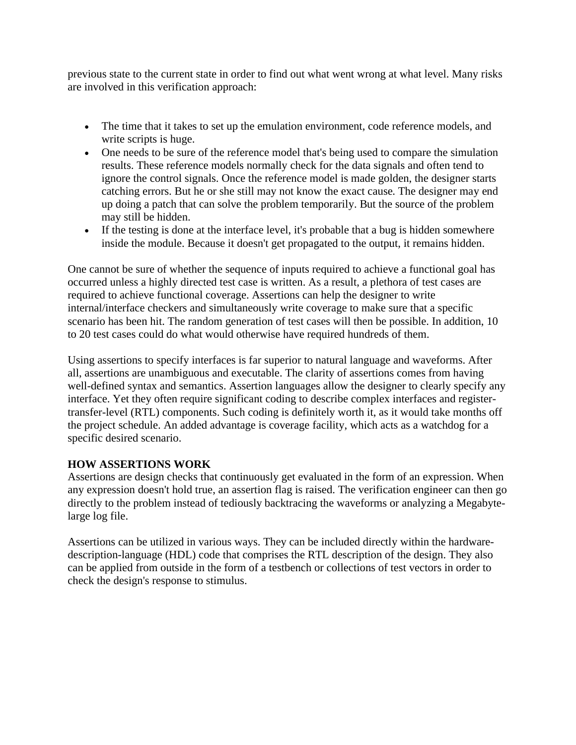previous state to the current state in order to find out what went wrong at what level. Many risks are involved in this verification approach:

- The time that it takes to set up the emulation environment, code reference models, and write scripts is huge.
- One needs to be sure of the reference model that's being used to compare the simulation results. These reference models normally check for the data signals and often tend to ignore the control signals. Once the reference model is made golden, the designer starts catching errors. But he or she still may not know the exact cause. The designer may end up doing a patch that can solve the problem temporarily. But the source of the problem may still be hidden.
- If the testing is done at the interface level, it's probable that a bug is hidden somewhere inside the module. Because it doesn't get propagated to the output, it remains hidden.

One cannot be sure of whether the sequence of inputs required to achieve a functional goal has occurred unless a highly directed test case is written. As a result, a plethora of test cases are required to achieve functional coverage. Assertions can help the designer to write internal/interface checkers and simultaneously write coverage to make sure that a specific scenario has been hit. The random generation of test cases will then be possible. In addition, 10 to 20 test cases could do what would otherwise have required hundreds of them.

Using assertions to specify interfaces is far superior to natural language and waveforms. After all, assertions are unambiguous and executable. The clarity of assertions comes from having well-defined syntax and semantics. Assertion languages allow the designer to clearly specify any interface. Yet they often require significant coding to describe complex interfaces and registertransfer-level (RTL) components. Such coding is definitely worth it, as it would take months off the project schedule. An added advantage is coverage facility, which acts as a watchdog for a specific desired scenario.

# **HOW ASSERTIONS WORK**

Assertions are design checks that continuously get evaluated in the form of an expression. When any expression doesn't hold true, an assertion flag is raised. The verification engineer can then go directly to the problem instead of tediously backtracing the waveforms or analyzing a Megabytelarge log file.

Assertions can be utilized in various ways. They can be included directly within the hardwaredescription-language (HDL) code that comprises the RTL description of the design. They also can be applied from outside in the form of a testbench or collections of test vectors in order to check the design's response to stimulus.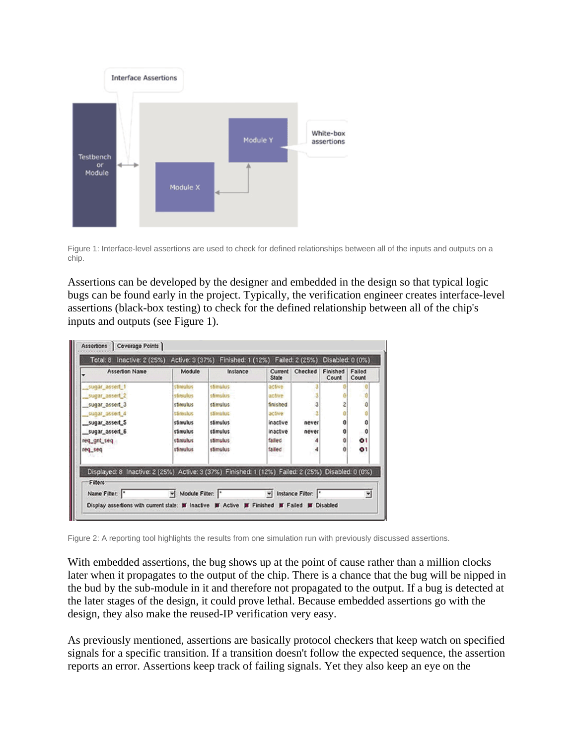

Figure 1: Interface-level assertions are used to check for defined relationships between all of the inputs and outputs on a chip.

Assertions can be developed by the designer and embedded in the design so that typical logic bugs can be found early in the project. Typically, the verification engineer creates interface-level assertions (black-box testing) to check for the defined relationship between all of the chip's inputs and outputs (see Figure 1).

| <b>Assertion Name</b>                                                                                         | Module    | Instance | Current<br>State | Checked | Finished<br>Count | Failed<br>Count        |
|---------------------------------------------------------------------------------------------------------------|-----------|----------|------------------|---------|-------------------|------------------------|
| sugar_assert_1                                                                                                | stimulus  | stimulus | active           |         |                   |                        |
| sugar_assert_2                                                                                                | stinuolus | stimulus | active           |         |                   |                        |
| sugar assert 3                                                                                                | stimulus  | stimulus | finished         | з       |                   | Ů                      |
| sugar_assert_4                                                                                                | stireulus | stimulus | active           |         |                   |                        |
| _sugar_assert_5                                                                                               | stimulus  | stimulus | inactive         | never   |                   | 0                      |
| sugar_assert_6                                                                                                | stimulus  | stimulus | inactive         | never   |                   | $\mathbf{0}^{\dagger}$ |
| req_gnt_seq                                                                                                   | stingulus | stimulus | failed           |         | Û                 | 01                     |
| req_seq                                                                                                       | stimulus  | stimulus | falled           |         |                   | $^{\circ}$             |
| Displayed: 8 Inactive: 2 (25%) Active: 3 (37%) Finished: 1 (12%) Falled: 2 (25%) Disabled: 0 (0%)<br>Filters: |           |          |                  |         |                   |                        |

Figure 2: A reporting tool highlights the results from one simulation run with previously discussed assertions.

With embedded assertions, the bug shows up at the point of cause rather than a million clocks later when it propagates to the output of the chip. There is a chance that the bug will be nipped in the bud by the sub-module in it and therefore not propagated to the output. If a bug is detected at the later stages of the design, it could prove lethal. Because embedded assertions go with the design, they also make the reused-IP verification very easy.

As previously mentioned, assertions are basically protocol checkers that keep watch on specified signals for a specific transition. If a transition doesn't follow the expected sequence, the assertion reports an error. Assertions keep track of failing signals. Yet they also keep an eye on the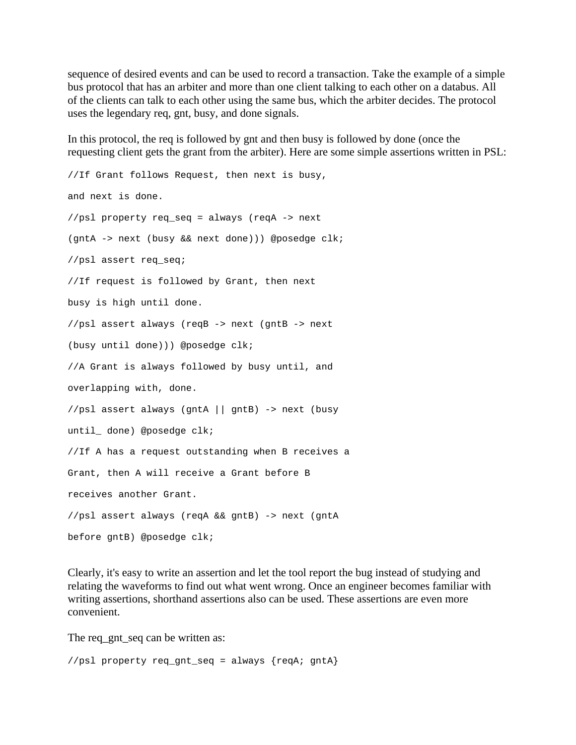sequence of desired events and can be used to record a transaction. Take the example of a simple bus protocol that has an arbiter and more than one client talking to each other on a databus. All of the clients can talk to each other using the same bus, which the arbiter decides. The protocol uses the legendary req, gnt, busy, and done signals.

In this protocol, the req is followed by gnt and then busy is followed by done (once the requesting client gets the grant from the arbiter). Here are some simple assertions written in PSL:

//If Grant follows Request, then next is busy, and next is done. //psl property req\_seq = always (reqA -> next (gntA -> next (busy && next done))) @posedge clk; //psl assert req\_seq; //If request is followed by Grant, then next busy is high until done. //psl assert always (reqB -> next (gntB -> next (busy until done))) @posedge clk; //A Grant is always followed by busy until, and overlapping with, done. //psl assert always (gntA || gntB) -> next (busy until\_ done) @posedge clk; //If A has a request outstanding when B receives a Grant, then A will receive a Grant before B receives another Grant. //psl assert always (reqA && gntB) -> next (gntA before gntB) @posedge clk;

Clearly, it's easy to write an assertion and let the tool report the bug instead of studying and relating the waveforms to find out what went wrong. Once an engineer becomes familiar with writing assertions, shorthand assertions also can be used. These assertions are even more convenient.

The req gnt seq can be written as:

//psl property req\_gnt\_seq = always {reqA; gntA}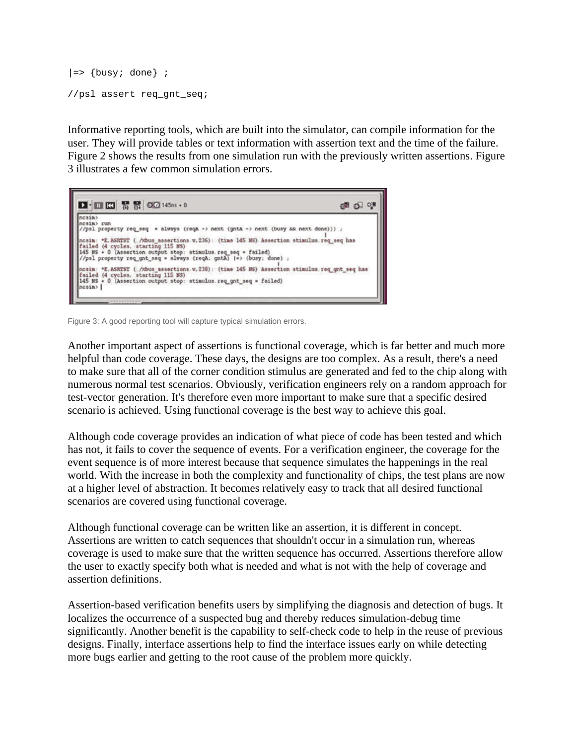```
|=\rangle {busy; done} ;
//psl assert req_gnt_seq;
```
Informative reporting tools, which are built into the simulator, can compile information for the user. They will provide tables or text information with assertion text and the time of the failure. Figure 2 shows the results from one simulation run with the previously written assertions. Figure 3 illustrates a few common simulation errors.



Figure 3: A good reporting tool will capture typical simulation errors.

Another important aspect of assertions is functional coverage, which is far better and much more helpful than code coverage. These days, the designs are too complex. As a result, there's a need to make sure that all of the corner condition stimulus are generated and fed to the chip along with numerous normal test scenarios. Obviously, verification engineers rely on a random approach for test-vector generation. It's therefore even more important to make sure that a specific desired scenario is achieved. Using functional coverage is the best way to achieve this goal.

Although code coverage provides an indication of what piece of code has been tested and which has not, it fails to cover the sequence of events. For a verification engineer, the coverage for the event sequence is of more interest because that sequence simulates the happenings in the real world. With the increase in both the complexity and functionality of chips, the test plans are now at a higher level of abstraction. It becomes relatively easy to track that all desired functional scenarios are covered using functional coverage.

Although functional coverage can be written like an assertion, it is different in concept. Assertions are written to catch sequences that shouldn't occur in a simulation run, whereas coverage is used to make sure that the written sequence has occurred. Assertions therefore allow the user to exactly specify both what is needed and what is not with the help of coverage and assertion definitions.

Assertion-based verification benefits users by simplifying the diagnosis and detection of bugs. It localizes the occurrence of a suspected bug and thereby reduces simulation-debug time significantly. Another benefit is the capability to self-check code to help in the reuse of previous designs. Finally, interface assertions help to find the interface issues early on while detecting more bugs earlier and getting to the root cause of the problem more quickly.